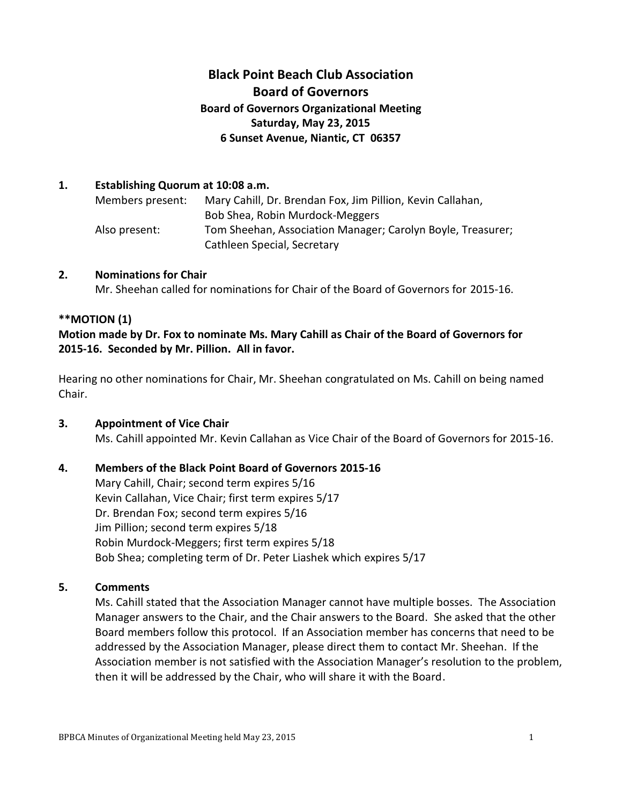# **Black Point Beach Club Association Board of Governors Board of Governors Organizational Meeting Saturday, May 23, 2015 6 Sunset Avenue, Niantic, CT 06357**

#### **1. Establishing Quorum at 10:08 a.m.**

Members present: Mary Cahill, Dr. Brendan Fox, Jim Pillion, Kevin Callahan, Bob Shea, Robin Murdock-Meggers Also present: Tom Sheehan, Association Manager; Carolyn Boyle, Treasurer; Cathleen Special, Secretary

#### **2. Nominations for Chair**

Mr. Sheehan called for nominations for Chair of the Board of Governors for 2015-16.

## **\*\*MOTION (1)**

## **Motion made by Dr. Fox to nominate Ms. Mary Cahill as Chair of the Board of Governors for 2015-16. Seconded by Mr. Pillion. All in favor.**

Hearing no other nominations for Chair, Mr. Sheehan congratulated on Ms. Cahill on being named Chair.

## **3. Appointment of Vice Chair**

Ms. Cahill appointed Mr. Kevin Callahan as Vice Chair of the Board of Governors for 2015-16.

## **4. Members of the Black Point Board of Governors 2015-16**

Mary Cahill, Chair; second term expires 5/16 Kevin Callahan, Vice Chair; first term expires 5/17 Dr. Brendan Fox; second term expires 5/16 Jim Pillion; second term expires 5/18 Robin Murdock-Meggers; first term expires 5/18 Bob Shea; completing term of Dr. Peter Liashek which expires 5/17

## **5. Comments**

Ms. Cahill stated that the Association Manager cannot have multiple bosses. The Association Manager answers to the Chair, and the Chair answers to the Board. She asked that the other Board members follow this protocol. If an Association member has concerns that need to be addressed by the Association Manager, please direct them to contact Mr. Sheehan. If the Association member is not satisfied with the Association Manager's resolution to the problem, then it will be addressed by the Chair, who will share it with the Board.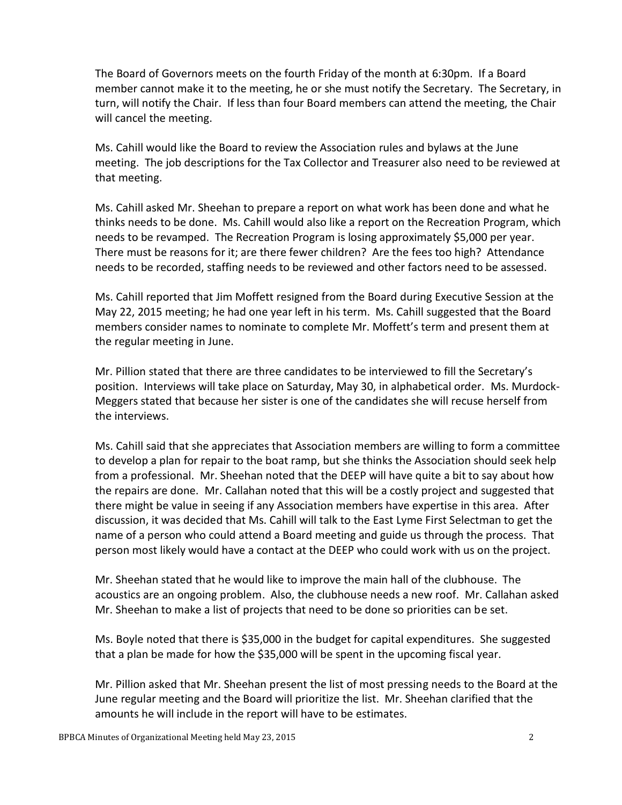The Board of Governors meets on the fourth Friday of the month at 6:30pm. If a Board member cannot make it to the meeting, he or she must notify the Secretary. The Secretary, in turn, will notify the Chair. If less than four Board members can attend the meeting, the Chair will cancel the meeting.

Ms. Cahill would like the Board to review the Association rules and bylaws at the June meeting. The job descriptions for the Tax Collector and Treasurer also need to be reviewed at that meeting.

Ms. Cahill asked Mr. Sheehan to prepare a report on what work has been done and what he thinks needs to be done. Ms. Cahill would also like a report on the Recreation Program, which needs to be revamped. The Recreation Program is losing approximately \$5,000 per year. There must be reasons for it; are there fewer children? Are the fees too high? Attendance needs to be recorded, staffing needs to be reviewed and other factors need to be assessed.

Ms. Cahill reported that Jim Moffett resigned from the Board during Executive Session at the May 22, 2015 meeting; he had one year left in his term. Ms. Cahill suggested that the Board members consider names to nominate to complete Mr. Moffett's term and present them at the regular meeting in June.

Mr. Pillion stated that there are three candidates to be interviewed to fill the Secretary's position. Interviews will take place on Saturday, May 30, in alphabetical order. Ms. Murdock-Meggers stated that because her sister is one of the candidates she will recuse herself from the interviews.

Ms. Cahill said that she appreciates that Association members are willing to form a committee to develop a plan for repair to the boat ramp, but she thinks the Association should seek help from a professional. Mr. Sheehan noted that the DEEP will have quite a bit to say about how the repairs are done. Mr. Callahan noted that this will be a costly project and suggested that there might be value in seeing if any Association members have expertise in this area. After discussion, it was decided that Ms. Cahill will talk to the East Lyme First Selectman to get the name of a person who could attend a Board meeting and guide us through the process. That person most likely would have a contact at the DEEP who could work with us on the project.

Mr. Sheehan stated that he would like to improve the main hall of the clubhouse. The acoustics are an ongoing problem. Also, the clubhouse needs a new roof. Mr. Callahan asked Mr. Sheehan to make a list of projects that need to be done so priorities can be set.

Ms. Boyle noted that there is \$35,000 in the budget for capital expenditures. She suggested that a plan be made for how the \$35,000 will be spent in the upcoming fiscal year.

Mr. Pillion asked that Mr. Sheehan present the list of most pressing needs to the Board at the June regular meeting and the Board will prioritize the list. Mr. Sheehan clarified that the amounts he will include in the report will have to be estimates.